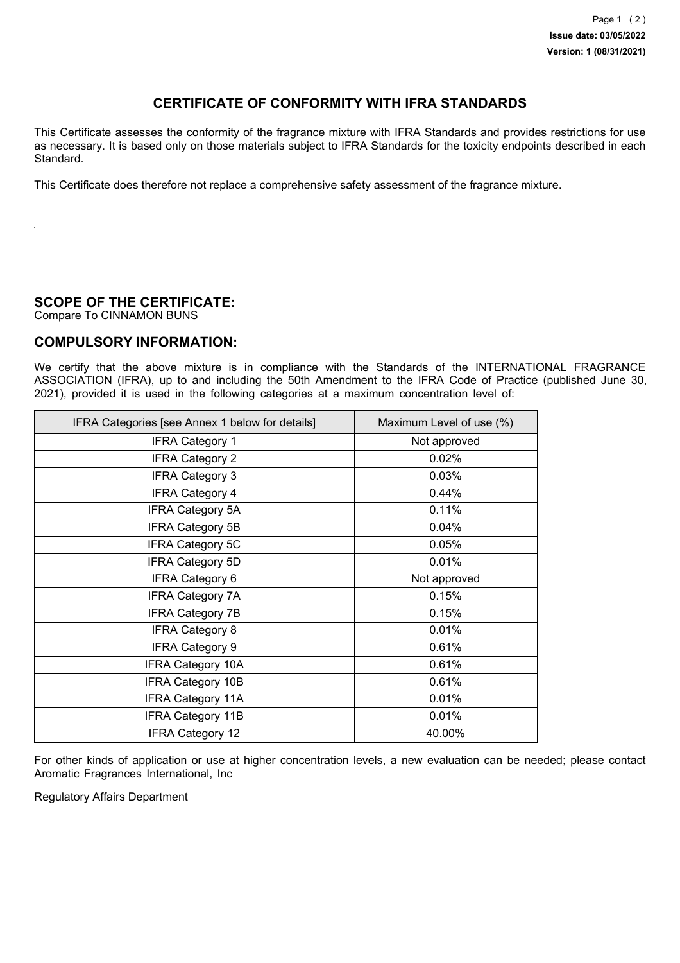## **CERTIFICATE OF CONFORMITY WITH IFRA STANDARDS**

This Certificate assesses the conformity of the fragrance mixture with IFRA Standards and provides restrictions for use as necessary. It is based only on those materials subject to IFRA Standards for the toxicity endpoints described in each Standard.

This Certificate does therefore not replace a comprehensive safety assessment of the fragrance mixture.

## **SCOPE OF THE CERTIFICATE:**

Compare To CINNAMON BUNS

## **COMPULSORY INFORMATION:**

We certify that the above mixture is in compliance with the Standards of the INTERNATIONAL FRAGRANCE ASSOCIATION (IFRA), up to and including the 50th Amendment to the IFRA Code of Practice (published June 30, 2021), provided it is used in the following categories at a maximum concentration level of:

| IFRA Categories [see Annex 1 below for details] | Maximum Level of use (%) |
|-------------------------------------------------|--------------------------|
| <b>IFRA Category 1</b>                          | Not approved             |
| <b>IFRA Category 2</b>                          | 0.02%                    |
| <b>IFRA Category 3</b>                          | 0.03%                    |
| <b>IFRA Category 4</b>                          | 0.44%                    |
| <b>IFRA Category 5A</b>                         | 0.11%                    |
| <b>IFRA Category 5B</b>                         | 0.04%                    |
| <b>IFRA Category 5C</b>                         | 0.05%                    |
| <b>IFRA Category 5D</b>                         | 0.01%                    |
| <b>IFRA Category 6</b>                          | Not approved             |
| <b>IFRA Category 7A</b>                         | 0.15%                    |
| <b>IFRA Category 7B</b>                         | 0.15%                    |
| <b>IFRA Category 8</b>                          | 0.01%                    |
| <b>IFRA Category 9</b>                          | 0.61%                    |
| <b>IFRA Category 10A</b>                        | 0.61%                    |
| <b>IFRA Category 10B</b>                        | 0.61%                    |
| <b>IFRA Category 11A</b>                        | 0.01%                    |
| <b>IFRA Category 11B</b>                        | 0.01%                    |
| <b>IFRA Category 12</b>                         | 40.00%                   |

For other kinds of application or use at higher concentration levels, a new evaluation can be needed; please contact Aromatic Fragrances International, Inc

Regulatory Affairs Department